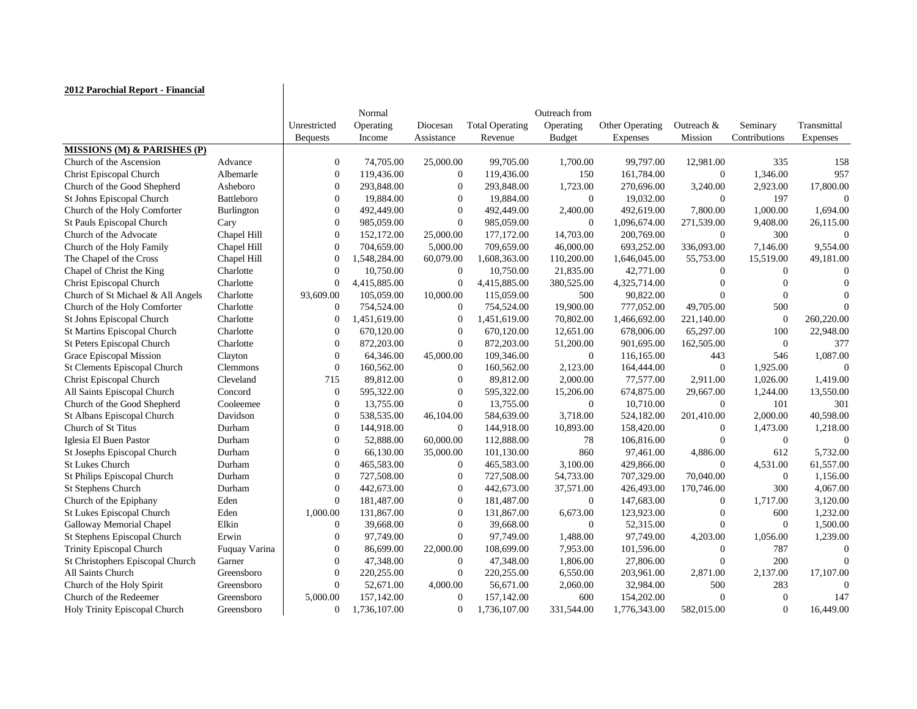| 2012 Parochial Report - Financial      |                   |                  |              |                  |                        |                  |                        |                  |                  |             |
|----------------------------------------|-------------------|------------------|--------------|------------------|------------------------|------------------|------------------------|------------------|------------------|-------------|
|                                        |                   |                  | Normal       |                  |                        | Outreach from    |                        |                  |                  |             |
|                                        |                   | Unrestricted     | Operating    | Diocesan         | <b>Total Operating</b> | Operating        | <b>Other Operating</b> | Outreach &       | Seminary         | Transmittal |
|                                        |                   | <b>Bequests</b>  | Income       | Assistance       | Revenue                | <b>Budget</b>    | <b>Expenses</b>        | Mission          | Contributions    | Expenses    |
| <b>MISSIONS (M) &amp; PARISHES (P)</b> |                   |                  |              |                  |                        |                  |                        |                  |                  |             |
| Church of the Ascension                | Advance           | $\theta$         | 74,705.00    | 25,000.00        | 99,705.00              | 1,700.00         | 99,797.00              | 12,981.00        | 335              | 158         |
| <b>Christ Episcopal Church</b>         | Albemarle         | $\boldsymbol{0}$ | 119,436.00   | $\boldsymbol{0}$ | 119,436.00             | 150              | 161,784.00             | $\boldsymbol{0}$ | 1,346.00         | 957         |
| Church of the Good Shepherd            | Asheboro          | $\overline{0}$   | 293,848.00   | $\theta$         | 293,848.00             | 1,723.00         | 270,696.00             | 3,240.00         | 2,923.00         | 17,800.00   |
| St Johns Episcopal Church              | Battleboro        | $\mathbf{0}$     | 19,884.00    | $\mathbf{0}$     | 19,884.00              | $\overline{0}$   | 19,032.00              | $\Omega$         | 197              |             |
| Church of the Holy Comforter           | <b>Burlington</b> | $\mathbf{0}$     | 492,449.00   | $\overline{0}$   | 492,449.00             | 2,400.00         | 492,619.00             | 7,800.00         | 1,000.00         | 1,694.00    |
| St Pauls Episcopal Church              | Cary              | $\mathbf{0}$     | 985,059.00   | $\overline{0}$   | 985,059.00             | $\overline{0}$   | 1,096,674.00           | 271,539.00       | 9,408.00         | 26,115.00   |
| Church of the Advocate                 | Chapel Hill       | $\overline{0}$   | 152,172.00   | 25,000.00        | 177,172.00             | 14,703.00        | 200,769.00             | $\theta$         | 300              |             |
| Church of the Holy Family              | Chapel Hill       | $\mathbf{0}$     | 704,659.00   | 5,000.00         | 709,659.00             | 46,000.00        | 693,252.00             | 336,093.00       | 7,146.00         | 9,554.00    |
| The Chapel of the Cross                | Chapel Hill       | $\Omega$         | 1,548,284.00 | 60,079.00        | 1,608,363.00           | 110,200.00       | 1,646,045.00           | 55,753.00        | 15,519.00        | 49,181.00   |
| Chapel of Christ the King              | Charlotte         | $\theta$         | 10,750.00    | $\overline{0}$   | 10,750.00              | 21,835.00        | 42,771.00              |                  | $\theta$         |             |
| <b>Christ Episcopal Church</b>         | Charlotte         | $\overline{0}$   | 4,415,885.00 | $\theta$         | 4,415,885.00           | 380,525.00       | 4,325,714.00           |                  |                  |             |
| Church of St Michael & All Angels      | Charlotte         | 93,609.00        | 105,059.00   | 10,000.00        | 115,059.00             | 500              | 90,822.00              |                  |                  |             |
| Church of the Holy Comforter           | Charlotte         | $\mathbf{0}$     | 754,524.00   | $\overline{0}$   | 754,524.00             | 19,900.00        | 777,052.00             | 49,705.00        | 500              |             |
| St Johns Episcopal Church              | Charlotte         | $\theta$         | 1,451,619.00 | $\overline{0}$   | 1,451,619.00           | 70,802.00        | 1,466,692.00           | 221,140.00       | $\overline{0}$   | 260,220.00  |
| St Martins Episcopal Church            | Charlotte         | $\overline{0}$   | 670,120.00   | $\overline{0}$   | 670,120.00             | 12,651.00        | 678,006.00             | 65,297.00        | 100              | 22,948.00   |
| St Peters Episcopal Church             | Charlotte         | $\theta$         | 872,203.00   | $\mathbf{0}$     | 872,203.00             | 51,200.00        | 901,695.00             | 162,505.00       | $\overline{0}$   | 377         |
| Grace Episcopal Mission                | Clayton           | $\overline{0}$   | 64,346.00    | 45,000.00        | 109,346.00             | $\overline{0}$   | 116,165.00             | 443              | 546              | 1,087.00    |
| <b>St Clements Episcopal Church</b>    | <b>Clemmons</b>   | $\theta$         | 160,562.00   | $\overline{0}$   | 160,562.00             | 2,123.00         | 164,444.00             | $\theta$         | 1,925.00         |             |
| <b>Christ Episcopal Church</b>         | Cleveland         | 715              | 89,812.00    | $\overline{0}$   | 89,812.00              | 2,000.00         | 77,577.00              | 2,911.00         | 1,026.00         | 1,419.00    |
| All Saints Episcopal Church            | Concord           | $\overline{0}$   | 595,322.00   | $\overline{0}$   | 595,322.00             | 15,206.00        | 674,875.00             | 29,667.00        | 1,244.00         | 13,550.00   |
| Church of the Good Shepherd            | Cooleemee         | $\theta$         | 13,755.00    | $\mathbf{0}$     | 13,755.00              | $\overline{0}$   | 10,710.00              | $\overline{0}$   | 101              | 301         |
| St Albans Episcopal Church             | Davidson          | $\overline{0}$   | 538,535.00   | 46,104.00        | 584,639.00             | 3,718.00         | 524,182.00             | 201,410.00       | 2,000.00         | 40,598.00   |
| Church of St Titus                     | Durham            | $\overline{0}$   | 144,918.00   | $\boldsymbol{0}$ | 144,918.00             | 10,893.00        | 158,420.00             | $\theta$         | 1,473.00         | 1,218.00    |
| Iglesia El Buen Pastor                 | Durham            | ∩                | 52,888.00    | 60,000.00        | 112,888.00             | 78               | 106,816.00             |                  | $\theta$         |             |
| St Josephs Episcopal Church            | Durham            | $\theta$         | 66,130.00    | 35,000.00        | 101,130.00             | 860              | 97,461.00              | 4,886.00         | 612              | 5,732.00    |
| <b>St Lukes Church</b>                 | Durham            | $\theta$         | 465,583.00   | $\theta$         | 465,583.00             | 3,100.00         | 429,866.00             | $\theta$         | 4,531.00         | 61,557.00   |
| St Philips Episcopal Church            | Durham            | $\theta$         | 727,508.00   |                  | 727,508.00             | 54,733.00        | 707,329.00             | 70,040.00        | $\theta$         | 1,156.00    |
| <b>St Stephens Church</b>              | Durham            | $\theta$         | 442,673.00   | $\theta$         | 442,673.00             | 37,571.00        | 426,493.00             | 170,746.00       | 300              | 4,067.00    |
| Church of the Epiphany                 | Eden              | $\boldsymbol{0}$ | 181,487.00   |                  | 181,487.00             | $\boldsymbol{0}$ | 147,683.00             |                  | 1,717.00         | 3,120.00    |
| <b>St Lukes Episcopal Church</b>       | Eden              | 1,000.00         | 131,867.00   | $\Omega$         | 131,867.00             | 6,673.00         | 123,923.00             |                  | 600              | 1,232.00    |
| <b>Galloway Memorial Chapel</b>        | Elkin             | $\theta$         | 39,668.00    |                  | 39,668.00              | $\boldsymbol{0}$ | 52,315.00              |                  | $\boldsymbol{0}$ | 1,500.00    |
| St Stephens Episcopal Church           | Erwin             | $\left($         | 97,749.00    |                  | 97,749.00              | 1,488.00         | 97,749.00              | 4,203.00         | 1,056.00         | 1,239.00    |
| <b>Trinity Episcopal Church</b>        | Fuquay Varina     | $\overline{0}$   | 86,699.00    | 22,000.00        | 108,699.00             | 7,953.00         | 101,596.00             |                  | 787              |             |
| St Christophers Episcopal Church       | Garner            | $\Omega$         | 47,348.00    | $\theta$         | 47,348.00              | 1,806.00         | 27,806.00              |                  | 200              |             |
| All Saints Church                      | Greensboro        | $\theta$         | 220,255.00   |                  | 220,255.00             | 6,550.00         | 203,961.00             | 2,871.00         | 2,137.00         | 17,107.00   |
| Church of the Holy Spirit              | Greensboro        | $\Omega$         | 52,671.00    | 4,000.00         | 56,671.00              | 2,060.00         | 32,984.00              | 500              | 283              |             |
| Church of the Redeemer                 | Greensboro        | 5,000.00         | 157,142.00   | $\theta$         | 157,142.00             | 600              | 154,202.00             |                  | $\theta$         | 147         |
| Holy Trinity Episcopal Church          | Greensboro        | $\mathbf{0}$     | 1,736,107.00 | $\theta$         | 1,736,107.00           | 331,544.00       | 1,776,343.00           | 582,015.00       | $\theta$         | 16,449.00   |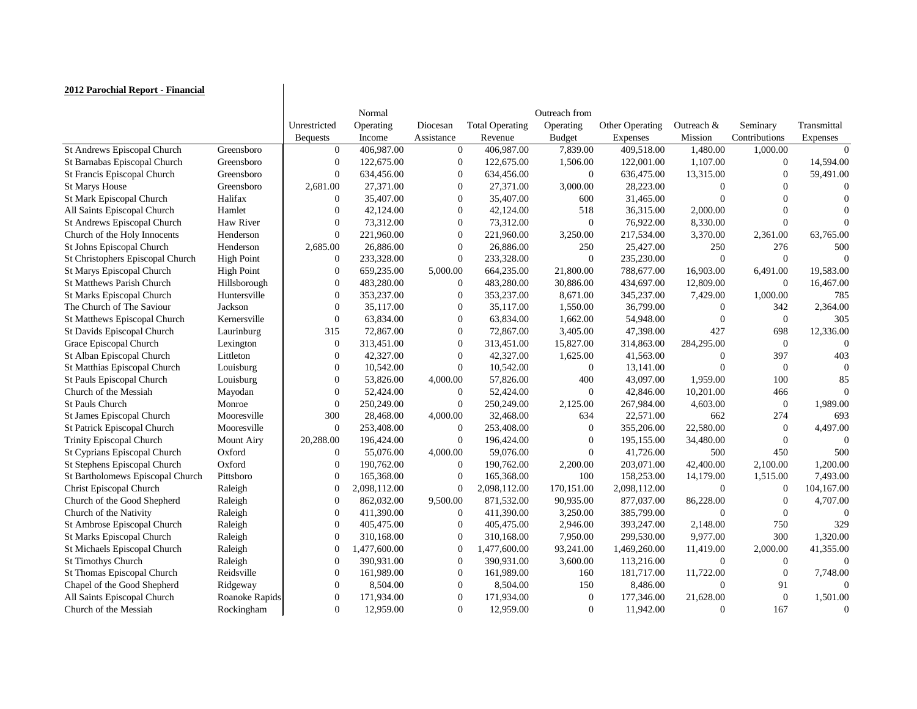## **2012 Parochial Report - Financial**

|                                     |                   |                  | Normal       |                  |                        | Outreach from    |                        |                  |                  |                |
|-------------------------------------|-------------------|------------------|--------------|------------------|------------------------|------------------|------------------------|------------------|------------------|----------------|
|                                     |                   | Unrestricted     | Operating    | Diocesan         | <b>Total Operating</b> | Operating        | <b>Other Operating</b> | Outreach $&$     | Seminary         | Transmittal    |
|                                     |                   | <b>Bequests</b>  | Income       | Assistance       | Revenue                | <b>Budget</b>    | Expenses               | Mission          | Contributions    | Expenses       |
| St Andrews Episcopal Church         | Greensboro        | $\theta$         | 406,987.00   | $\Omega$         | 406,987.00             | 7,839.00         | 409,518.00             | 1,480.00         | 1,000.00         | $\Omega$       |
| St Barnabas Episcopal Church        | Greensboro        | $\theta$         | 122,675.00   | $\boldsymbol{0}$ | 122,675.00             | 1,506.00         | 122,001.00             | 1,107.00         | $\boldsymbol{0}$ | 14,594.00      |
| St Francis Episcopal Church         | Greensboro        | $\overline{0}$   | 634,456.00   | $\Omega$         | 634,456.00             | $\boldsymbol{0}$ | 636,475.00             | 13,315.00        | $\theta$         | 59,491.00      |
| <b>St Marys House</b>               | Greensboro        | 2,681.00         | 27,371.00    | $\overline{0}$   | 27,371.00              | 3,000.00         | 28,223.00              |                  |                  |                |
| St Mark Episcopal Church            | Halifax           | $\theta$         | 35,407.00    | $\Omega$         | 35,407.00              | 600              | 31,465.00              |                  |                  |                |
| All Saints Episcopal Church         | Hamlet            | $\theta$         | 42,124.00    | $\theta$         | 42,124.00              | 518              | 36,315.00              | 2,000.00         |                  |                |
| St Andrews Episcopal Church         | <b>Haw River</b>  | $\Omega$         | 73,312.00    | $\Omega$         | 73,312.00              | $\theta$         | 76,922.00              | 8,330.00         | $\theta$         |                |
| Church of the Holy Innocents        | Henderson         | $\boldsymbol{0}$ | 221,960.00   | $\theta$         | 221,960.00             | 3,250.00         | 217,534.00             | 3,370.00         | 2,361.00         | 63,765.00      |
| St Johns Episcopal Church           | Henderson         | 2,685.00         | 26,886.00    | $\Omega$         | 26,886.00              | 250              | 25,427.00              | 250              | 276              | 500            |
| St Christophers Episcopal Church    | <b>High Point</b> | $\boldsymbol{0}$ | 233,328.00   | $\boldsymbol{0}$ | 233,328.00             | $\overline{0}$   | 235,230.00             | $\overline{0}$   | $\theta$         | $\bigcap$      |
| St Marys Episcopal Church           | <b>High Point</b> | $\theta$         | 659,235.00   | 5,000.00         | 664,235.00             | 21,800.00        | 788,677.00             | 16,903.00        | 6,491.00         | 19,583.00      |
| <b>St Matthews Parish Church</b>    | Hillsborough      | $\overline{0}$   | 483,280.00   | $\theta$         | 483,280.00             | 30,886.00        | 434,697.00             | 12,809.00        | $\overline{0}$   | 16,467.00      |
| <b>St Marks Episcopal Church</b>    | Huntersville      | $\theta$         | 353,237.00   | $\Omega$         | 353,237.00             | 8,671.00         | 345,237.00             | 7,429.00         | 1,000.00         | 785            |
| The Church of The Saviour           | Jackson           | $\Omega$         | 35,117.00    | $\theta$         | 35,117.00              | 1,550.00         | 36,799.00              | $\mathbf{0}$     | 342              | 2,364.00       |
| St Matthews Episcopal Church        | Kernersville      | $\overline{0}$   | 63,834.00    | $\Omega$         | 63,834.00              | 1,662.00         | 54,948.00              |                  | $\theta$         | 305            |
| St Davids Episcopal Church          | Laurinburg        | 315              | 72,867.00    | $\overline{0}$   | 72,867.00              | 3,405.00         | 47,398.00              | 427              | 698              | 12,336.00      |
| Grace Episcopal Church              | Lexington         | $\theta$         | 313,451.00   | $\Omega$         | 313,451.00             | 15,827.00        | 314,863.00             | 284,295.00       | $\overline{0}$   | $\left($       |
| St Alban Episcopal Church           | Littleton         | $\theta$         | 42,327.00    | $\Omega$         | 42,327.00              | 1,625.00         | 41,563.00              | $\theta$         | 397              | 403            |
| St Matthias Episcopal Church        | Louisburg         | $\overline{0}$   | 10,542.00    | $\Omega$         | 10,542.00              | $\overline{0}$   | 13,141.00              |                  | $\theta$         |                |
| St Pauls Episcopal Church           | Louisburg         | $\overline{0}$   | 53,826.00    | 4,000.00         | 57,826.00              | 400              | 43,097.00              | 1,959.00         | 100              | 85             |
| Church of the Messiah               | Mayodan           | $\theta$         | 52,424.00    | $\theta$         | 52,424.00              | $\Omega$         | 42,846.00              | 10,201.00        | 466              | ∩              |
| <b>St Pauls Church</b>              | Monroe            | $\overline{0}$   | 250,249.00   | $\Omega$         | 250,249.00             | 2,125.00         | 267,984.00             | 4,603.00         | $\overline{0}$   | 1,989.00       |
| <b>St James Episcopal Church</b>    | Mooresville       | 300              | 28,468.00    | 4,000.00         | 32,468.00              | 634              | 22,571.00              | 662              | 274              | 693            |
| <b>St Patrick Episcopal Church</b>  | Mooresville       | $\theta$         | 253,408.00   | $\Omega$         | 253,408.00             | $\theta$         | 355,206.00             | 22,580.00        | $\theta$         | 4,497.00       |
| <b>Trinity Episcopal Church</b>     | <b>Mount Airy</b> | 20,288.00        | 196,424.00   | $\Omega$         | 196,424.00             | $\theta$         | 195,155.00             | 34,480.00        |                  |                |
| St Cyprians Episcopal Church        | Oxford            | $\Omega$         | 55,076.00    | 4,000.00         | 59,076.00              | $\theta$         | 41,726.00              | 500              | 450              | 500            |
| <b>St Stephens Episcopal Church</b> | Oxford            | $\Omega$         | 190,762.00   | $\Omega$         | 190,762.00             | 2,200.00         | 203,071.00             | 42,400.00        | 2,100.00         | 1,200.00       |
| St Bartholomews Episcopal Church    | Pittsboro         | $\overline{0}$   | 165,368.00   | $\theta$         | 165,368.00             | 100              | 158,253.00             | 14,179.00        | 1,515.00         | 7,493.00       |
| <b>Christ Episcopal Church</b>      | Raleigh           |                  | 2,098,112.00 |                  | 2,098,112.00           | 170,151.00       | 2,098,112.00           | $\boldsymbol{0}$ | $\boldsymbol{0}$ | 104,167.00     |
| Church of the Good Shepherd         | Raleigh           | $\theta$         | 862,032.00   | 9,500.00         | 871,532.00             | 90,935.00        | 877,037.00             | 86,228.00        | $\theta$         | 4,707.00       |
| Church of the Nativity              | Raleigh           | $\theta$         | 411,390.00   | 0                | 411,390.00             | 3,250.00         | 385,799.00             |                  | $\theta$         |                |
| St Ambrose Episcopal Church         | Raleigh           | $\theta$         | 405,475.00   |                  | 405,475.00             | 2,946.00         | 393,247.00             | 2,148.00         | 750              | 329            |
| St Marks Episcopal Church           | Raleigh           | $\theta$         | 310,168.00   |                  | 310,168.00             | 7,950.00         | 299,530.00             | 9,977.00         | 300              | 1,320.00       |
| St Michaels Episcopal Church        | Raleigh           |                  | 1,477,600.00 |                  | 1,477,600.00           | 93,241.00        | 1,469,260.00           | 11,419.00        | 2,000.00         | 41,355.00      |
| <b>St Timothys Church</b>           | Raleigh           | $\theta$         | 390,931.00   |                  | 390,931.00             | 3,600.00         | 113,216.00             | $\overline{0}$   | $\theta$         |                |
| St Thomas Episcopal Church          | Reidsville        | $\theta$         | 161,989.00   |                  | 161,989.00             | 160              | 181,717.00             | 11,722.00        | $\theta$         | 7,748.00       |
| Chapel of the Good Shepherd         | Ridgeway          | $\boldsymbol{0}$ | 8,504.00     |                  | 8,504.00               | 150              | 8,486.00               | $\overline{0}$   | 91               |                |
| All Saints Episcopal Church         | Roanoke Rapids    | $\boldsymbol{0}$ | 171,934.00   |                  | 171,934.00             | $\overline{0}$   | 177,346.00             | 21,628.00        | $\overline{0}$   | 1,501.00       |
| Church of the Messiah               | Rockingham        | $\overline{0}$   | 12,959.00    | $\theta$         | 12,959.00              | $\overline{0}$   | 11,942.00              | $\boldsymbol{0}$ | 167              | $\overline{0}$ |